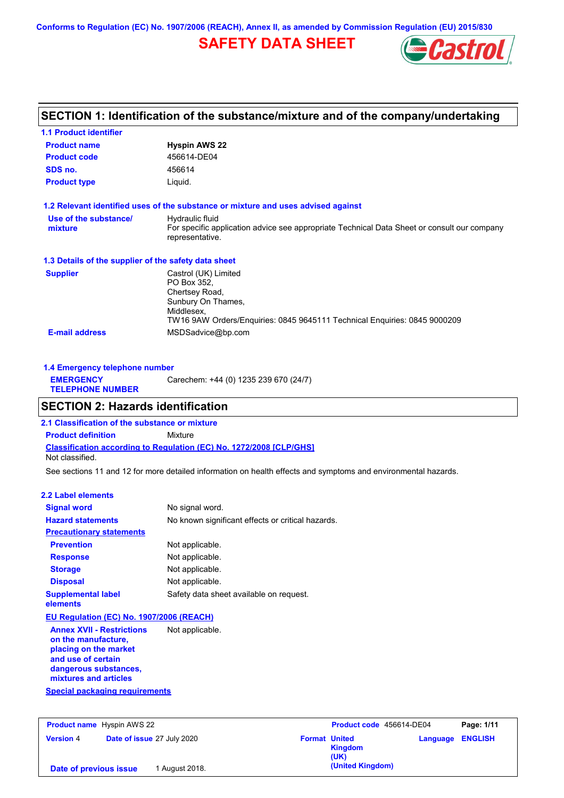**Conforms to Regulation (EC) No. 1907/2006 (REACH), Annex II, as amended by Commission Regulation (EU) 2015/830**

## **SAFETY DATA SHEET**



## **SECTION 1: Identification of the substance/mixture and of the company/undertaking**

| <b>1.1 Product identifier</b>                        |                                                                                                                |
|------------------------------------------------------|----------------------------------------------------------------------------------------------------------------|
| <b>Product name</b>                                  | <b>Hyspin AWS 22</b>                                                                                           |
| <b>Product code</b>                                  | 456614-DE04                                                                                                    |
| SDS no.                                              | 456614                                                                                                         |
| <b>Product type</b>                                  | Liquid.                                                                                                        |
|                                                      | 1.2 Relevant identified uses of the substance or mixture and uses advised against                              |
| Use of the substance/                                | Hydraulic fluid                                                                                                |
| mixture                                              | For specific application advice see appropriate Technical Data Sheet or consult our company<br>representative. |
| 1.3 Details of the supplier of the safety data sheet |                                                                                                                |
| <b>Supplier</b>                                      | Castrol (UK) Limited                                                                                           |
|                                                      | PO Box 352,                                                                                                    |
|                                                      | Chertsey Road,                                                                                                 |
|                                                      | Sunbury On Thames,                                                                                             |
|                                                      | Middlesex,<br>TW16 9AW Orders/Enguiries: 0845 9645111 Technical Enguiries: 0845 9000209                        |
|                                                      |                                                                                                                |
| <b>E-mail address</b>                                | MSDSadvice@bp.com                                                                                              |

| 1.4 Emergency telephone number              |                                       |  |
|---------------------------------------------|---------------------------------------|--|
| <b>EMERGENCY</b><br><b>TELEPHONE NUMBER</b> | Carechem: +44 (0) 1235 239 670 (24/7) |  |

## **SECTION 2: Hazards identification**

**Classification according to Regulation (EC) No. 1272/2008 [CLP/GHS] 2.1 Classification of the substance or mixture Product definition** Mixture Not classified.

See sections 11 and 12 for more detailed information on health effects and symptoms and environmental hazards.

### **2.2 Label elements**

| <b>Signal word</b>                                                                                                                                       | No signal word.                                   |
|----------------------------------------------------------------------------------------------------------------------------------------------------------|---------------------------------------------------|
| <b>Hazard statements</b>                                                                                                                                 | No known significant effects or critical hazards. |
| <b>Precautionary statements</b>                                                                                                                          |                                                   |
| <b>Prevention</b>                                                                                                                                        | Not applicable.                                   |
| <b>Response</b>                                                                                                                                          | Not applicable.                                   |
| <b>Storage</b>                                                                                                                                           | Not applicable.                                   |
| <b>Disposal</b>                                                                                                                                          | Not applicable.                                   |
| <b>Supplemental label</b><br>elements                                                                                                                    | Safety data sheet available on request.           |
| EU Regulation (EC) No. 1907/2006 (REACH)                                                                                                                 |                                                   |
| <b>Annex XVII - Restrictions</b><br>on the manufacture,<br>placing on the market<br>and use of certain<br>dangerous substances,<br>mixtures and articles | Not applicable.                                   |
| Special packaging requirements                                                                                                                           |                                                   |

| <b>Product name</b> Hyspin AWS 22 |                            | Product code 456614-DE04 |                  | Page: 1/11              |  |
|-----------------------------------|----------------------------|--------------------------|------------------|-------------------------|--|
| <b>Version 4</b>                  | Date of issue 27 July 2020 | <b>Format United</b>     | Kingdom<br>(UK)  | <b>Language ENGLISH</b> |  |
| Date of previous issue            | August 2018.               |                          | (United Kingdom) |                         |  |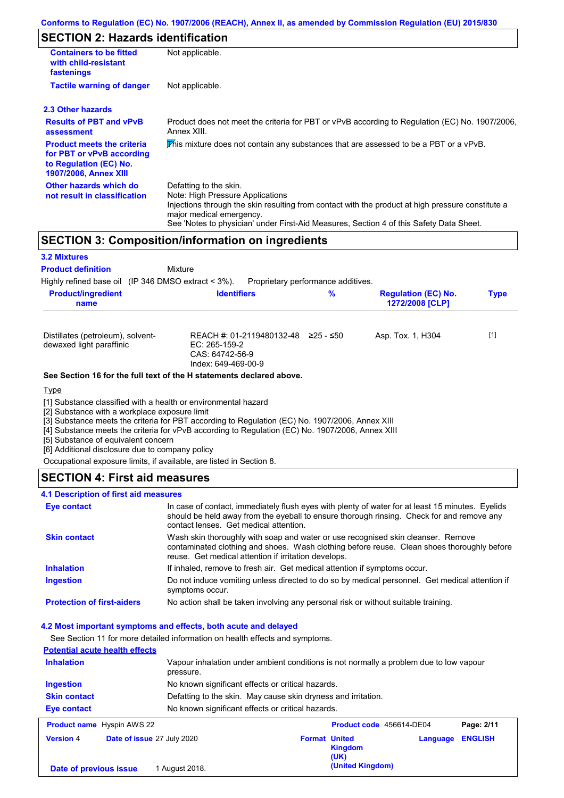## **SECTION 2: Hazards identification**

| <b>Containers to be fitted</b><br>with child-resistant<br>fastenings                                                     | Not applicable.                                                                                                                                                                                                                                                                        |
|--------------------------------------------------------------------------------------------------------------------------|----------------------------------------------------------------------------------------------------------------------------------------------------------------------------------------------------------------------------------------------------------------------------------------|
| <b>Tactile warning of danger</b>                                                                                         | Not applicable.                                                                                                                                                                                                                                                                        |
| 2.3 Other hazards                                                                                                        |                                                                                                                                                                                                                                                                                        |
| <b>Results of PBT and vPvB</b><br>assessment                                                                             | Product does not meet the criteria for PBT or vPvB according to Regulation (EC) No. 1907/2006,<br>Annex XIII.                                                                                                                                                                          |
| <b>Product meets the criteria</b><br>for PBT or vPvB according<br>to Regulation (EC) No.<br><b>1907/2006, Annex XIII</b> | This mixture does not contain any substances that are assessed to be a PBT or a vPvB.                                                                                                                                                                                                  |
| Other hazards which do<br>not result in classification                                                                   | Defatting to the skin.<br>Note: High Pressure Applications<br>Injections through the skin resulting from contact with the product at high pressure constitute a<br>major medical emergency.<br>See 'Notes to physician' under First-Aid Measures, Section 4 of this Safety Data Sheet. |

## **SECTION 3: Composition/information on ingredients**

| <b>3.2 Mixtures</b>                                           |                                                                                        |                                    |                                               |             |
|---------------------------------------------------------------|----------------------------------------------------------------------------------------|------------------------------------|-----------------------------------------------|-------------|
| <b>Product definition</b>                                     | Mixture                                                                                |                                    |                                               |             |
| Highly refined base oil (IP 346 DMSO extract $<$ 3%).         |                                                                                        | Proprietary performance additives. |                                               |             |
| <b>Product/ingredient</b><br>name                             | <b>Identifiers</b>                                                                     | %                                  | <b>Regulation (EC) No.</b><br>1272/2008 [CLP] | <b>Type</b> |
| Distillates (petroleum), solvent-<br>dewaxed light paraffinic | REACH #: 01-2119480132-48<br>$EC: 265-159-2$<br>CAS: 64742-56-9<br>Index: 649-469-00-9 | 225 - ≤50                          | Asp. Tox. 1, H304                             | $[1]$       |
|                                                               | See Section 16 for the full text of the H statements declared above.                   |                                    |                                               |             |

#### Type

[1] Substance classified with a health or environmental hazard

[2] Substance with a workplace exposure limit

[3] Substance meets the criteria for PBT according to Regulation (EC) No. 1907/2006, Annex XIII

[4] Substance meets the criteria for vPvB according to Regulation (EC) No. 1907/2006, Annex XIII

[5] Substance of equivalent concern

[6] Additional disclosure due to company policy

Occupational exposure limits, if available, are listed in Section 8.

### **SECTION 4: First aid measures**

#### **4.1 Description of first aid measures**

| Eye contact                       | In case of contact, immediately flush eyes with plenty of water for at least 15 minutes. Eyelids<br>should be held away from the eyeball to ensure thorough rinsing. Check for and remove any<br>contact lenses. Get medical attention. |
|-----------------------------------|-----------------------------------------------------------------------------------------------------------------------------------------------------------------------------------------------------------------------------------------|
| <b>Skin contact</b>               | Wash skin thoroughly with soap and water or use recognised skin cleanser. Remove<br>contaminated clothing and shoes. Wash clothing before reuse. Clean shoes thoroughly before<br>reuse. Get medical attention if irritation develops.  |
| <b>Inhalation</b>                 | If inhaled, remove to fresh air. Get medical attention if symptoms occur.                                                                                                                                                               |
| <b>Ingestion</b>                  | Do not induce vomiting unless directed to do so by medical personnel. Get medical attention if<br>symptoms occur.                                                                                                                       |
| <b>Protection of first-aiders</b> | No action shall be taken involving any personal risk or without suitable training.                                                                                                                                                      |

#### **4.2 Most important symptoms and effects, both acute and delayed**

See Section 11 for more detailed information on health effects and symptoms.

| <b>Potential acute health effects</b> |                                                                                                     |
|---------------------------------------|-----------------------------------------------------------------------------------------------------|
| <b>Inhalation</b>                     | Vapour inhalation under ambient conditions is not normally a problem due to low vapour<br>pressure. |
| <b>Ingestion</b>                      | No known significant effects or critical hazards.                                                   |
| <b>Skin contact</b>                   | Defatting to the skin. May cause skin dryness and irritation.                                       |
| <b>Eye contact</b>                    | No known significant effects or critical hazards.                                                   |
| <b>Product name</b> Hyspin AWS 22     | Product code 456614-DE04<br>Page: 2/11                                                              |
|                                       |                                                                                                     |

| <b>Product name</b> Hyspin AWS 22 |                                   | <b>Product Code</b> 450014-DE04                |                  | Page: 2/11 |
|-----------------------------------|-----------------------------------|------------------------------------------------|------------------|------------|
| <b>Version 4</b>                  | <b>Date of issue 27 July 2020</b> | <b>Format United</b><br><b>Kingdom</b><br>(UK) | Language ENGLISH |            |
| Date of previous issue            | 1 August 2018.                    | (United Kingdom)                               |                  |            |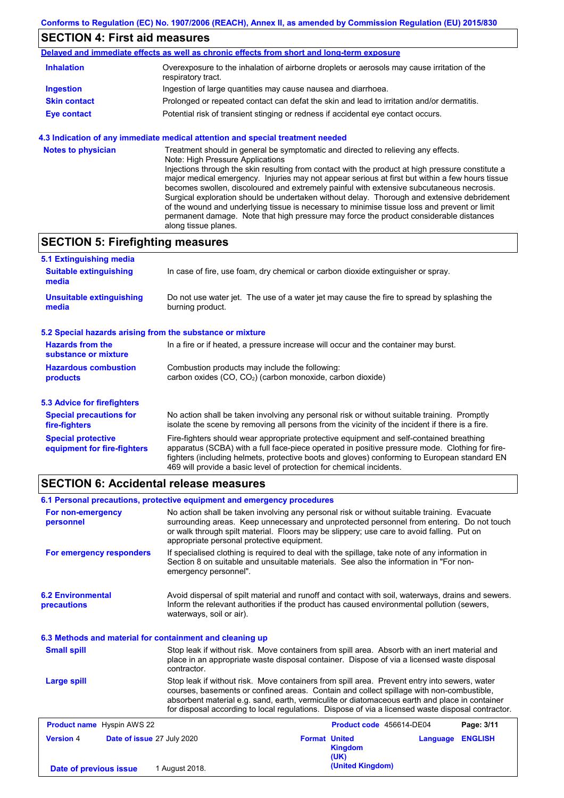## **SECTION 4: First aid measures**

| Delayed and immediate effects as well as chronic effects from short and long-term exposure |                                                                                                                   |  |
|--------------------------------------------------------------------------------------------|-------------------------------------------------------------------------------------------------------------------|--|
| <b>Inhalation</b>                                                                          | Overexposure to the inhalation of airborne droplets or aerosols may cause irritation of the<br>respiratory tract. |  |
| <b>Ingestion</b>                                                                           | Ingestion of large quantities may cause nausea and diarrhoea.                                                     |  |
| <b>Skin contact</b>                                                                        | Prolonged or repeated contact can defat the skin and lead to irritation and/or dermatitis.                        |  |
| Eye contact                                                                                | Potential risk of transient stinging or redness if accidental eye contact occurs.                                 |  |

### **4.3 Indication of any immediate medical attention and special treatment needed**

| <b>Notes to physician</b> | Treatment should in general be symptomatic and directed to relieving any effects.<br>Note: High Pressure Applications<br>Injections through the skin resulting from contact with the product at high pressure constitute a<br>major medical emergency. Injuries may not appear serious at first but within a few hours tissue<br>becomes swollen, discoloured and extremely painful with extensive subcutaneous necrosis.<br>Surgical exploration should be undertaken without delay. Thorough and extensive debridement<br>of the wound and underlying tissue is necessary to minimise tissue loss and prevent or limit<br>permanent damage. Note that high pressure may force the product considerable distances<br>along tissue planes. |
|---------------------------|--------------------------------------------------------------------------------------------------------------------------------------------------------------------------------------------------------------------------------------------------------------------------------------------------------------------------------------------------------------------------------------------------------------------------------------------------------------------------------------------------------------------------------------------------------------------------------------------------------------------------------------------------------------------------------------------------------------------------------------------|
|---------------------------|--------------------------------------------------------------------------------------------------------------------------------------------------------------------------------------------------------------------------------------------------------------------------------------------------------------------------------------------------------------------------------------------------------------------------------------------------------------------------------------------------------------------------------------------------------------------------------------------------------------------------------------------------------------------------------------------------------------------------------------------|

## **SECTION 5: Firefighting measures**

| 5.1 Extinguishing media                                                                                                                                                                                                                                                                                                                                                                                                       |                                                                                                                                                                                                |  |
|-------------------------------------------------------------------------------------------------------------------------------------------------------------------------------------------------------------------------------------------------------------------------------------------------------------------------------------------------------------------------------------------------------------------------------|------------------------------------------------------------------------------------------------------------------------------------------------------------------------------------------------|--|
| <b>Suitable extinguishing</b><br>media                                                                                                                                                                                                                                                                                                                                                                                        | In case of fire, use foam, dry chemical or carbon dioxide extinguisher or spray.                                                                                                               |  |
| <b>Unsuitable extinguishing</b><br>media                                                                                                                                                                                                                                                                                                                                                                                      | Do not use water jet. The use of a water jet may cause the fire to spread by splashing the<br>burning product.                                                                                 |  |
| 5.2 Special hazards arising from the substance or mixture                                                                                                                                                                                                                                                                                                                                                                     |                                                                                                                                                                                                |  |
| <b>Hazards from the</b><br>substance or mixture                                                                                                                                                                                                                                                                                                                                                                               | In a fire or if heated, a pressure increase will occur and the container may burst.                                                                                                            |  |
| <b>Hazardous combustion</b><br>products                                                                                                                                                                                                                                                                                                                                                                                       | Combustion products may include the following:<br>carbon oxides $(CO, CO2)$ (carbon monoxide, carbon dioxide)                                                                                  |  |
| 5.3 Advice for firefighters                                                                                                                                                                                                                                                                                                                                                                                                   |                                                                                                                                                                                                |  |
| <b>Special precautions for</b><br>fire-fighters                                                                                                                                                                                                                                                                                                                                                                               | No action shall be taken involving any personal risk or without suitable training. Promptly<br>isolate the scene by removing all persons from the vicinity of the incident if there is a fire. |  |
| <b>Special protective</b><br>Fire-fighters should wear appropriate protective equipment and self-contained breathing<br>apparatus (SCBA) with a full face-piece operated in positive pressure mode. Clothing for fire-<br>equipment for fire-fighters<br>fighters (including helmets, protective boots and gloves) conforming to European standard EN<br>469 will provide a basic level of protection for chemical incidents. |                                                                                                                                                                                                |  |

## **SECTION 6: Accidental release measures**

| 6.1 Personal precautions, protective equipment and emergency procedures |                                            |                                                                                                                                                                                                                                                                                                                                                                                                |                            |  |
|-------------------------------------------------------------------------|--------------------------------------------|------------------------------------------------------------------------------------------------------------------------------------------------------------------------------------------------------------------------------------------------------------------------------------------------------------------------------------------------------------------------------------------------|----------------------------|--|
| For non-emergency<br>personnel                                          | appropriate personal protective equipment. | No action shall be taken involving any personal risk or without suitable training. Evacuate<br>surrounding areas. Keep unnecessary and unprotected personnel from entering. Do not touch<br>or walk through spilt material. Floors may be slippery; use care to avoid falling. Put on                                                                                                          |                            |  |
| For emergency responders                                                | emergency personnel".                      | If specialised clothing is required to deal with the spillage, take note of any information in<br>Section 8 on suitable and unsuitable materials. See also the information in "For non-                                                                                                                                                                                                        |                            |  |
| <b>6.2 Environmental</b><br>precautions                                 | waterways, soil or air).                   | Avoid dispersal of spilt material and runoff and contact with soil, waterways, drains and sewers.<br>Inform the relevant authorities if the product has caused environmental pollution (sewers,                                                                                                                                                                                                |                            |  |
| 6.3 Methods and material for containment and cleaning up                |                                            |                                                                                                                                                                                                                                                                                                                                                                                                |                            |  |
| <b>Small spill</b>                                                      | contractor.                                | Stop leak if without risk. Move containers from spill area. Absorb with an inert material and<br>place in an appropriate waste disposal container. Dispose of via a licensed waste disposal                                                                                                                                                                                                    |                            |  |
| Large spill                                                             |                                            | Stop leak if without risk. Move containers from spill area. Prevent entry into sewers, water<br>courses, basements or confined areas. Contain and collect spillage with non-combustible,<br>absorbent material e.g. sand, earth, vermiculite or diatomaceous earth and place in container<br>for disposal according to local regulations. Dispose of via a licensed waste disposal contractor. |                            |  |
| <b>Product name</b> Hyspin AWS 22                                       |                                            | Product code 456614-DE04                                                                                                                                                                                                                                                                                                                                                                       | Page: 3/11                 |  |
| <b>Version 4</b><br>Date of issue 27 July 2020                          |                                            | <b>Format United</b><br><b>Kingdom</b><br>(UK)                                                                                                                                                                                                                                                                                                                                                 | <b>ENGLISH</b><br>Language |  |
| Date of previous issue                                                  | 1 August 2018.                             | (United Kingdom)                                                                                                                                                                                                                                                                                                                                                                               |                            |  |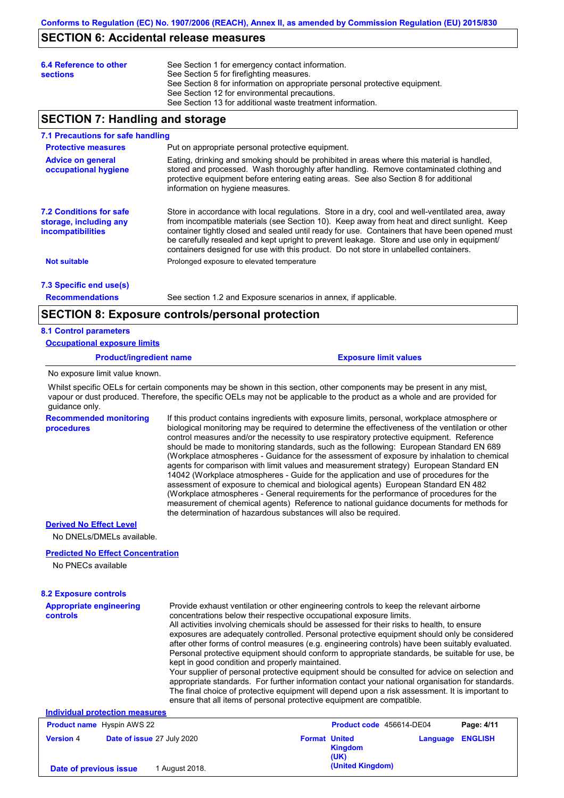## **SECTION 6: Accidental release measures**

| 6.4 Reference to other<br><b>sections</b> | See Section 1 for emergency contact information.<br>See Section 5 for firefighting measures.<br>See Section 8 for information on appropriate personal protective equipment.<br>See Section 12 for environmental precautions. |
|-------------------------------------------|------------------------------------------------------------------------------------------------------------------------------------------------------------------------------------------------------------------------------|
|                                           | See Section 13 for additional waste treatment information.                                                                                                                                                                   |

## **SECTION 7: Handling and storage**

#### **7.1 Precautions for safe handling**

| <b>Protective measures</b>                                                           | Put on appropriate personal protective equipment.                                                                                                                                                                                                                                                                                                                                                                                                                                        |
|--------------------------------------------------------------------------------------|------------------------------------------------------------------------------------------------------------------------------------------------------------------------------------------------------------------------------------------------------------------------------------------------------------------------------------------------------------------------------------------------------------------------------------------------------------------------------------------|
| <b>Advice on general</b><br>occupational hygiene                                     | Eating, drinking and smoking should be prohibited in areas where this material is handled,<br>stored and processed. Wash thoroughly after handling. Remove contaminated clothing and<br>protective equipment before entering eating areas. See also Section 8 for additional<br>information on hygiene measures.                                                                                                                                                                         |
| <b>7.2 Conditions for safe</b><br>storage, including any<br><i>incompatibilities</i> | Store in accordance with local requlations. Store in a dry, cool and well-ventilated area, away<br>from incompatible materials (see Section 10). Keep away from heat and direct sunlight. Keep<br>container tightly closed and sealed until ready for use. Containers that have been opened must<br>be carefully resealed and kept upright to prevent leakage. Store and use only in equipment/<br>containers designed for use with this product. Do not store in unlabelled containers. |
| <b>Not suitable</b>                                                                  | Prolonged exposure to elevated temperature                                                                                                                                                                                                                                                                                                                                                                                                                                               |
| 7.3 Specific end use(s)                                                              |                                                                                                                                                                                                                                                                                                                                                                                                                                                                                          |

**Recommendations**

See section 1.2 and Exposure scenarios in annex, if applicable.

### **SECTION 8: Exposure controls/personal protection**

#### **8.1 Control parameters**

**Occupational exposure limits**

**Product/ingredient name Exposure limit values**

No exposure limit value known.

Whilst specific OELs for certain components may be shown in this section, other components may be present in any mist, vapour or dust produced. Therefore, the specific OELs may not be applicable to the product as a whole and are provided for guidance only.

**Recommended monitoring procedures** If this product contains ingredients with exposure limits, personal, workplace atmosphere or biological monitoring may be required to determine the effectiveness of the ventilation or other control measures and/or the necessity to use respiratory protective equipment. Reference should be made to monitoring standards, such as the following: European Standard EN 689 (Workplace atmospheres - Guidance for the assessment of exposure by inhalation to chemical agents for comparison with limit values and measurement strategy) European Standard EN 14042 (Workplace atmospheres - Guide for the application and use of procedures for the assessment of exposure to chemical and biological agents) European Standard EN 482 (Workplace atmospheres - General requirements for the performance of procedures for the measurement of chemical agents) Reference to national guidance documents for methods for the determination of hazardous substances will also be required.

### **Derived No Effect Level**

No DNELs/DMELs available.

#### **Predicted No Effect Concentration**

No PNECs available

### **8.2 Exposure controls**

| <b>Appropriate engineering</b><br>controls<br>Individual protection measures | Provide exhaust ventilation or other engineering controls to keep the relevant airborne<br>concentrations below their respective occupational exposure limits.<br>All activities involving chemicals should be assessed for their risks to health, to ensure<br>exposures are adequately controlled. Personal protective equipment should only be considered<br>after other forms of control measures (e.g. engineering controls) have been suitably evaluated.<br>Personal protective equipment should conform to appropriate standards, be suitable for use, be<br>kept in good condition and properly maintained.<br>Your supplier of personal protective equipment should be consulted for advice on selection and<br>appropriate standards. For further information contact your national organisation for standards.<br>The final choice of protective equipment will depend upon a risk assessment. It is important to<br>ensure that all items of personal protective equipment are compatible. |                      |                          |                |
|------------------------------------------------------------------------------|---------------------------------------------------------------------------------------------------------------------------------------------------------------------------------------------------------------------------------------------------------------------------------------------------------------------------------------------------------------------------------------------------------------------------------------------------------------------------------------------------------------------------------------------------------------------------------------------------------------------------------------------------------------------------------------------------------------------------------------------------------------------------------------------------------------------------------------------------------------------------------------------------------------------------------------------------------------------------------------------------------|----------------------|--------------------------|----------------|
| <b>Product name</b> Hyspin AWS 22                                            |                                                                                                                                                                                                                                                                                                                                                                                                                                                                                                                                                                                                                                                                                                                                                                                                                                                                                                                                                                                                         |                      | Product code 456614-DE04 | Page: 4/11     |
| <b>Version 4</b><br>Date of issue 27 July 2020                               |                                                                                                                                                                                                                                                                                                                                                                                                                                                                                                                                                                                                                                                                                                                                                                                                                                                                                                                                                                                                         | <b>Format United</b> | Language                 | <b>ENGLISH</b> |

**Kingdom (UK) (United Kingdom) Date of previous issue** 1 August 2018.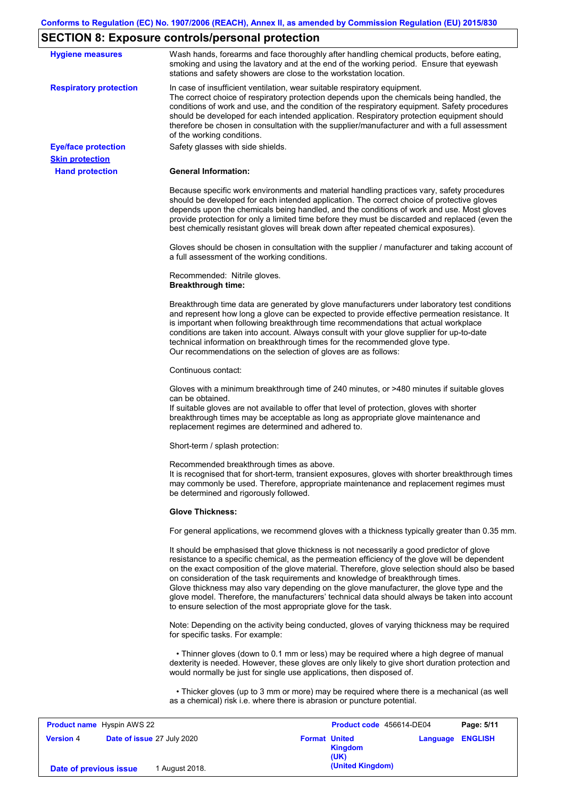## **SECTION 8: Exposure controls/personal protection**

| <b>Hygiene measures</b>       | Wash hands, forearms and face thoroughly after handling chemical products, before eating,                                                                                                                                                                                                                                                                                                                                                                                                                                                                                                                                                         |
|-------------------------------|---------------------------------------------------------------------------------------------------------------------------------------------------------------------------------------------------------------------------------------------------------------------------------------------------------------------------------------------------------------------------------------------------------------------------------------------------------------------------------------------------------------------------------------------------------------------------------------------------------------------------------------------------|
|                               | smoking and using the lavatory and at the end of the working period. Ensure that eyewash<br>stations and safety showers are close to the workstation location.                                                                                                                                                                                                                                                                                                                                                                                                                                                                                    |
| <b>Respiratory protection</b> | In case of insufficient ventilation, wear suitable respiratory equipment.<br>The correct choice of respiratory protection depends upon the chemicals being handled, the<br>conditions of work and use, and the condition of the respiratory equipment. Safety procedures<br>should be developed for each intended application. Respiratory protection equipment should<br>therefore be chosen in consultation with the supplier/manufacturer and with a full assessment<br>of the working conditions.                                                                                                                                             |
| <b>Eye/face protection</b>    | Safety glasses with side shields.                                                                                                                                                                                                                                                                                                                                                                                                                                                                                                                                                                                                                 |
| <b>Skin protection</b>        |                                                                                                                                                                                                                                                                                                                                                                                                                                                                                                                                                                                                                                                   |
| <b>Hand protection</b>        | <b>General Information:</b>                                                                                                                                                                                                                                                                                                                                                                                                                                                                                                                                                                                                                       |
|                               | Because specific work environments and material handling practices vary, safety procedures<br>should be developed for each intended application. The correct choice of protective gloves<br>depends upon the chemicals being handled, and the conditions of work and use. Most gloves<br>provide protection for only a limited time before they must be discarded and replaced (even the<br>best chemically resistant gloves will break down after repeated chemical exposures).                                                                                                                                                                  |
|                               | Gloves should be chosen in consultation with the supplier / manufacturer and taking account of<br>a full assessment of the working conditions.                                                                                                                                                                                                                                                                                                                                                                                                                                                                                                    |
|                               | Recommended: Nitrile gloves.<br><b>Breakthrough time:</b>                                                                                                                                                                                                                                                                                                                                                                                                                                                                                                                                                                                         |
|                               | Breakthrough time data are generated by glove manufacturers under laboratory test conditions<br>and represent how long a glove can be expected to provide effective permeation resistance. It<br>is important when following breakthrough time recommendations that actual workplace<br>conditions are taken into account. Always consult with your glove supplier for up-to-date<br>technical information on breakthrough times for the recommended glove type.<br>Our recommendations on the selection of gloves are as follows:                                                                                                                |
|                               | Continuous contact:                                                                                                                                                                                                                                                                                                                                                                                                                                                                                                                                                                                                                               |
|                               | Gloves with a minimum breakthrough time of 240 minutes, or >480 minutes if suitable gloves<br>can be obtained.<br>If suitable gloves are not available to offer that level of protection, gloves with shorter<br>breakthrough times may be acceptable as long as appropriate glove maintenance and<br>replacement regimes are determined and adhered to.                                                                                                                                                                                                                                                                                          |
|                               | Short-term / splash protection:                                                                                                                                                                                                                                                                                                                                                                                                                                                                                                                                                                                                                   |
|                               | Recommended breakthrough times as above.<br>It is recognised that for short-term, transient exposures, gloves with shorter breakthrough times<br>may commonly be used. Therefore, appropriate maintenance and replacement regimes must<br>be determined and rigorously followed.                                                                                                                                                                                                                                                                                                                                                                  |
|                               | <b>Glove Thickness:</b>                                                                                                                                                                                                                                                                                                                                                                                                                                                                                                                                                                                                                           |
|                               | For general applications, we recommend gloves with a thickness typically greater than 0.35 mm.                                                                                                                                                                                                                                                                                                                                                                                                                                                                                                                                                    |
|                               | It should be emphasised that glove thickness is not necessarily a good predictor of glove<br>resistance to a specific chemical, as the permeation efficiency of the glove will be dependent<br>on the exact composition of the glove material. Therefore, glove selection should also be based<br>on consideration of the task requirements and knowledge of breakthrough times.<br>Glove thickness may also vary depending on the glove manufacturer, the glove type and the<br>glove model. Therefore, the manufacturers' technical data should always be taken into account<br>to ensure selection of the most appropriate glove for the task. |
|                               | Note: Depending on the activity being conducted, gloves of varying thickness may be required<br>for specific tasks. For example:                                                                                                                                                                                                                                                                                                                                                                                                                                                                                                                  |
|                               | • Thinner gloves (down to 0.1 mm or less) may be required where a high degree of manual<br>dexterity is needed. However, these gloves are only likely to give short duration protection and<br>would normally be just for single use applications, then disposed of.                                                                                                                                                                                                                                                                                                                                                                              |
|                               | • Thicker gloves (up to 3 mm or more) may be required where there is a mechanical (as well<br>as a chemical) risk i.e. where there is abrasion or puncture potential.                                                                                                                                                                                                                                                                                                                                                                                                                                                                             |
|                               |                                                                                                                                                                                                                                                                                                                                                                                                                                                                                                                                                                                                                                                   |

| <b>Product name</b> Hyspin AWS 22 |                                   |                      | Product code 456614-DE04 |                         | Page: 5/11 |
|-----------------------------------|-----------------------------------|----------------------|--------------------------|-------------------------|------------|
| <b>Version 4</b>                  | <b>Date of issue 27 July 2020</b> | <b>Format United</b> | <b>Kingdom</b><br>(UK)   | <b>Language ENGLISH</b> |            |
| Date of previous issue            | August 2018.                      |                      | (United Kingdom)         |                         |            |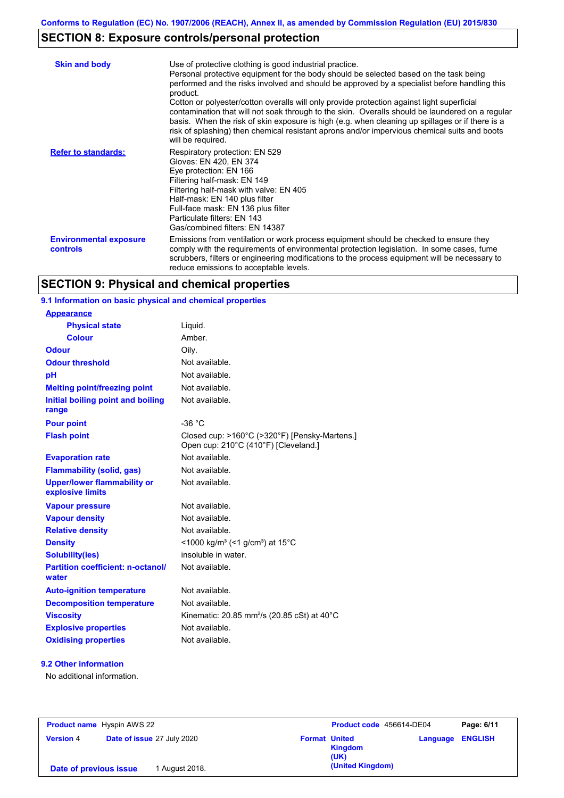## **SECTION 8: Exposure controls/personal protection**

| <b>Skin and body</b>                             | Use of protective clothing is good industrial practice.<br>Personal protective equipment for the body should be selected based on the task being<br>performed and the risks involved and should be approved by a specialist before handling this<br>product.<br>Cotton or polyester/cotton overalls will only provide protection against light superficial<br>contamination that will not soak through to the skin. Overalls should be laundered on a regular<br>basis. When the risk of skin exposure is high (e.g. when cleaning up spillages or if there is a<br>risk of splashing) then chemical resistant aprons and/or impervious chemical suits and boots<br>will be required. |
|--------------------------------------------------|---------------------------------------------------------------------------------------------------------------------------------------------------------------------------------------------------------------------------------------------------------------------------------------------------------------------------------------------------------------------------------------------------------------------------------------------------------------------------------------------------------------------------------------------------------------------------------------------------------------------------------------------------------------------------------------|
| <b>Refer to standards:</b>                       | Respiratory protection: EN 529<br>Gloves: EN 420, EN 374<br>Eye protection: EN 166<br>Filtering half-mask: EN 149<br>Filtering half-mask with valve: EN 405<br>Half-mask: EN 140 plus filter<br>Full-face mask: EN 136 plus filter<br>Particulate filters: EN 143<br>Gas/combined filters: EN 14387                                                                                                                                                                                                                                                                                                                                                                                   |
| <b>Environmental exposure</b><br><b>controls</b> | Emissions from ventilation or work process equipment should be checked to ensure they<br>comply with the requirements of environmental protection legislation. In some cases, fume<br>scrubbers, filters or engineering modifications to the process equipment will be necessary to<br>reduce emissions to acceptable levels.                                                                                                                                                                                                                                                                                                                                                         |

## **SECTION 9: Physical and chemical properties**

### **9.1 Information on basic physical and chemical properties**

| <b>Appearance</b>                                      |                                                                                       |
|--------------------------------------------------------|---------------------------------------------------------------------------------------|
| <b>Physical state</b>                                  | Liquid.                                                                               |
| <b>Colour</b>                                          | Amber.                                                                                |
| <b>Odour</b>                                           | Oilv.                                                                                 |
| <b>Odour threshold</b>                                 | Not available.                                                                        |
| pH                                                     | Not available.                                                                        |
| <b>Melting point/freezing point</b>                    | Not available.                                                                        |
| Initial boiling point and boiling<br>range             | Not available.                                                                        |
| <b>Pour point</b>                                      | $-36 °C$                                                                              |
| <b>Flash point</b>                                     | Closed cup: >160°C (>320°F) [Pensky-Martens.]<br>Open cup: 210°C (410°F) [Cleveland.] |
| <b>Evaporation rate</b>                                | Not available.                                                                        |
| <b>Flammability (solid, gas)</b>                       | Not available.                                                                        |
| <b>Upper/lower flammability or</b><br>explosive limits | Not available.                                                                        |
| <b>Vapour pressure</b>                                 | Not available.                                                                        |
| <b>Vapour density</b>                                  | Not available.                                                                        |
| <b>Relative density</b>                                | Not available.                                                                        |
| <b>Density</b>                                         | <1000 kg/m <sup>3</sup> (<1 g/cm <sup>3</sup> ) at 15 <sup>°</sup> C                  |
| <b>Solubility(ies)</b>                                 | insoluble in water.                                                                   |
| <b>Partition coefficient: n-octanol/</b><br>water      | Not available.                                                                        |
| <b>Auto-ignition temperature</b>                       | Not available.                                                                        |
| <b>Decomposition temperature</b>                       | Not available.                                                                        |
| <b>Viscosity</b>                                       | Kinematic: 20.85 mm <sup>2</sup> /s (20.85 cSt) at 40 $\degree$ C                     |
| <b>Explosive properties</b>                            | Not available.                                                                        |
| <b>Oxidising properties</b>                            | Not available.                                                                        |

### **9.2 Other information**

No additional information.

| <b>Product name</b> Hyspin AWS 22 |                            |                      | Product code 456614-DE04 | Page: 6/11              |
|-----------------------------------|----------------------------|----------------------|--------------------------|-------------------------|
| <b>Version 4</b>                  | Date of issue 27 July 2020 | <b>Format United</b> | <b>Kingdom</b><br>(UK)   | <b>Language ENGLISH</b> |
| Date of previous issue            | 1 August 2018.             |                      | (United Kingdom)         |                         |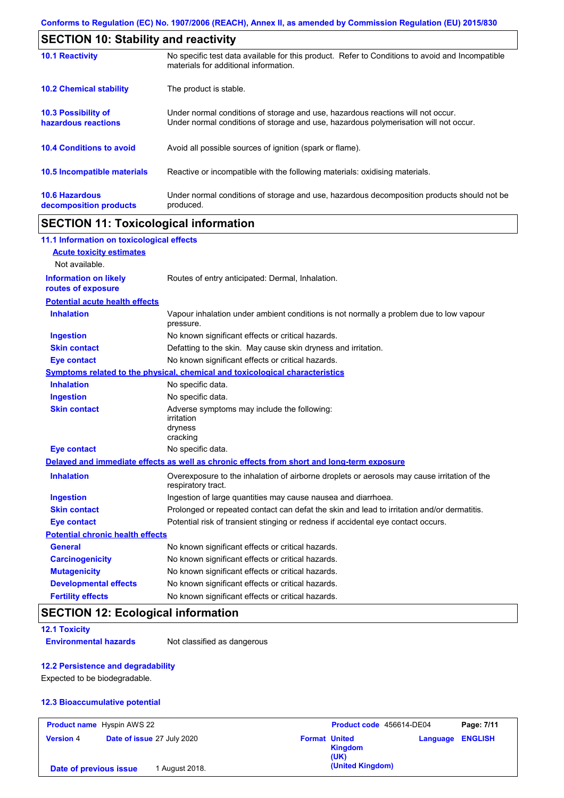| <b>SECTION 10: Stability and reactivity</b>       |                                                                                                                                                                         |  |  |
|---------------------------------------------------|-------------------------------------------------------------------------------------------------------------------------------------------------------------------------|--|--|
| <b>10.1 Reactivity</b>                            | No specific test data available for this product. Refer to Conditions to avoid and Incompatible<br>materials for additional information.                                |  |  |
| <b>10.2 Chemical stability</b>                    | The product is stable.                                                                                                                                                  |  |  |
| <b>10.3 Possibility of</b><br>hazardous reactions | Under normal conditions of storage and use, hazardous reactions will not occur.<br>Under normal conditions of storage and use, hazardous polymerisation will not occur. |  |  |
| <b>10.4 Conditions to avoid</b>                   | Avoid all possible sources of ignition (spark or flame).                                                                                                                |  |  |
| 10.5 Incompatible materials                       | Reactive or incompatible with the following materials: oxidising materials.                                                                                             |  |  |
| <b>10.6 Hazardous</b><br>decomposition products   | Under normal conditions of storage and use, hazardous decomposition products should not be<br>produced.                                                                 |  |  |

## **SECTION 11: Toxicological information**

| 11.1 Information on toxicological effects          |                                                                                                                   |
|----------------------------------------------------|-------------------------------------------------------------------------------------------------------------------|
| <b>Acute toxicity estimates</b>                    |                                                                                                                   |
| Not available.                                     |                                                                                                                   |
| <b>Information on likely</b><br>routes of exposure | Routes of entry anticipated: Dermal, Inhalation.                                                                  |
| <b>Potential acute health effects</b>              |                                                                                                                   |
| <b>Inhalation</b>                                  | Vapour inhalation under ambient conditions is not normally a problem due to low vapour<br>pressure.               |
| <b>Ingestion</b>                                   | No known significant effects or critical hazards.                                                                 |
| <b>Skin contact</b>                                | Defatting to the skin. May cause skin dryness and irritation.                                                     |
| <b>Eye contact</b>                                 | No known significant effects or critical hazards.                                                                 |
|                                                    | Symptoms related to the physical, chemical and toxicological characteristics                                      |
| <b>Inhalation</b>                                  | No specific data.                                                                                                 |
| <b>Ingestion</b>                                   | No specific data.                                                                                                 |
| <b>Skin contact</b>                                | Adverse symptoms may include the following:<br>irritation<br>dryness<br>cracking                                  |
| <b>Eye contact</b>                                 | No specific data.                                                                                                 |
|                                                    | Delayed and immediate effects as well as chronic effects from short and long-term exposure                        |
| <b>Inhalation</b>                                  | Overexposure to the inhalation of airborne droplets or aerosols may cause irritation of the<br>respiratory tract. |
| <b>Ingestion</b>                                   | Ingestion of large quantities may cause nausea and diarrhoea.                                                     |
| <b>Skin contact</b>                                | Prolonged or repeated contact can defat the skin and lead to irritation and/or dermatitis.                        |
| <b>Eye contact</b>                                 | Potential risk of transient stinging or redness if accidental eye contact occurs.                                 |
| <b>Potential chronic health effects</b>            |                                                                                                                   |
| <b>General</b>                                     | No known significant effects or critical hazards.                                                                 |
| <b>Carcinogenicity</b>                             | No known significant effects or critical hazards.                                                                 |
| <b>Mutagenicity</b>                                | No known significant effects or critical hazards.                                                                 |
| <b>Developmental effects</b>                       | No known significant effects or critical hazards.                                                                 |
| <b>Fertility effects</b>                           | No known significant effects or critical hazards.                                                                 |

## **SECTION 12: Ecological information**

**12.1 Toxicity**

**Environmental hazards** Not classified as dangerous

## **12.2 Persistence and degradability**

Expected to be biodegradable.

#### **12.3 Bioaccumulative potential**

|                        | <b>Product name</b> Hyspin AWS 22 | Product code 456614-DE04                       |                         | Page: 7/11 |
|------------------------|-----------------------------------|------------------------------------------------|-------------------------|------------|
| <b>Version 4</b>       | Date of issue 27 July 2020        | <b>Format United</b><br><b>Kingdom</b><br>(UK) | <b>Language ENGLISH</b> |            |
| Date of previous issue | 1 August 2018.                    | (United Kingdom)                               |                         |            |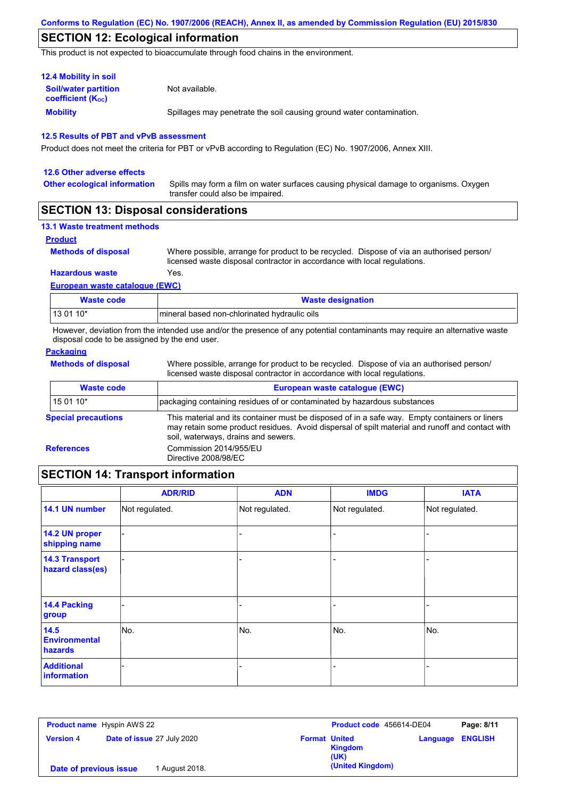## **SECTION 12: Ecological information**

This product is not expected to bioaccumulate through food chains in the environment.

| <b>12.4 Mobility in soil</b>                            |                                                                      |  |  |  |
|---------------------------------------------------------|----------------------------------------------------------------------|--|--|--|
| <b>Soil/water partition</b><br><b>coefficient (Koc)</b> | Not available.                                                       |  |  |  |
| Mobility                                                | Spillages may penetrate the soil causing ground water contamination. |  |  |  |

#### **12.5 Results of PBT and vPvB assessment**

Product does not meet the criteria for PBT or vPvB according to Regulation (EC) No. 1907/2006, Annex XIII.

| 12.6 Other adverse effects          |                                                                                                                           |
|-------------------------------------|---------------------------------------------------------------------------------------------------------------------------|
| <b>Other ecological information</b> | Spills may form a film on water surfaces causing physical damage to organisms. Oxygen<br>transfer could also be impaired. |

## **SECTION 13: Disposal considerations**

|  | <b>13.1 Waste treatment methods</b> |  |
|--|-------------------------------------|--|
|  |                                     |  |

#### **Product**

**Methods of disposal**

Where possible, arrange for product to be recycled. Dispose of via an authorised person/ licensed waste disposal contractor in accordance with local regulations.

### **European waste catalogue (EWC) Hazardous waste** Yes.

| Waste code  | <b>Waste designation</b>                     |
|-------------|----------------------------------------------|
| l 13 01 10* | mineral based non-chlorinated hydraulic oils |

However, deviation from the intended use and/or the presence of any potential contaminants may require an alternative waste disposal code to be assigned by the end user.

### **Packaging**

**Methods of disposal**

Where possible, arrange for product to be recycled. Dispose of via an authorised person/ licensed waste disposal contractor in accordance with local regulations.

| <b>Waste code</b>          | European waste catalogue (EWC)                                                                                                                                                                                                          |  |  |
|----------------------------|-----------------------------------------------------------------------------------------------------------------------------------------------------------------------------------------------------------------------------------------|--|--|
| 15 01 10*                  | packaging containing residues of or contaminated by hazardous substances                                                                                                                                                                |  |  |
| <b>Special precautions</b> | This material and its container must be disposed of in a safe way. Empty containers or liners<br>may retain some product residues. Avoid dispersal of spilt material and runoff and contact with<br>soil, waterways, drains and sewers. |  |  |
| <b>References</b>          | Commission 2014/955/EU<br>Directive 2008/98/EC                                                                                                                                                                                          |  |  |
|                            |                                                                                                                                                                                                                                         |  |  |

## **SECTION 14: Transport information**

|                                           | <b>ADR/RID</b> | <b>ADN</b>     | <b>IMDG</b>    | <b>IATA</b>    |
|-------------------------------------------|----------------|----------------|----------------|----------------|
| 14.1 UN number                            | Not regulated. | Not regulated. | Not regulated. | Not regulated. |
| 14.2 UN proper<br>shipping name           |                |                |                |                |
| <b>14.3 Transport</b><br>hazard class(es) |                |                |                |                |
| 14.4 Packing<br>group                     |                |                | $\overline{a}$ |                |
| 14.5<br><b>Environmental</b><br>hazards   | No.            | No.            | No.            | No.            |
| <b>Additional</b><br>information          |                |                |                |                |

| <b>Product name</b> Hyspin AWS 22 |                                   |                                                | Product code 456614-DE04<br>Page: 8/11 |
|-----------------------------------|-----------------------------------|------------------------------------------------|----------------------------------------|
| <b>Version 4</b>                  | <b>Date of issue 27 July 2020</b> | <b>Format United</b><br><b>Kingdom</b><br>(UK) | <b>Language ENGLISH</b>                |
| Date of previous issue            | 1 August 2018.                    | (United Kingdom)                               |                                        |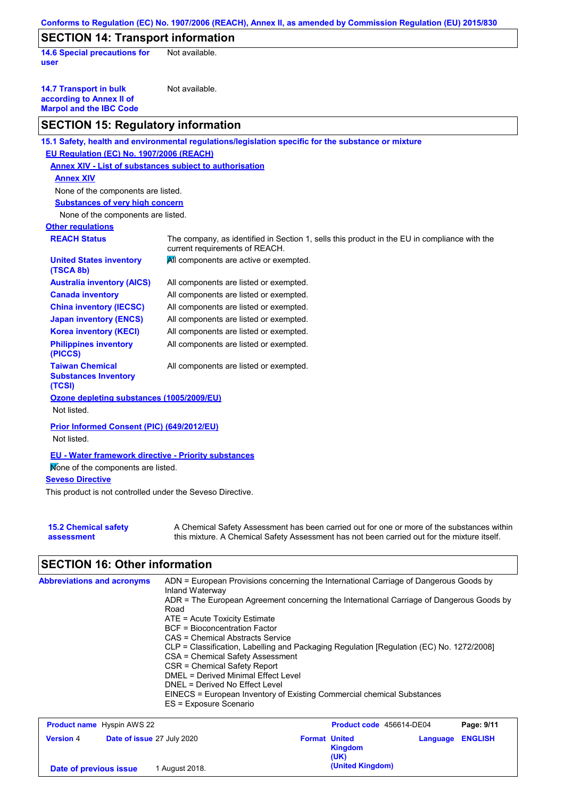| Conforms to Regulation (EC) No. 1907/2006 (REACH), Annex II, as amended by Commission Regulation (EU) 2015/830 |                                                                                                                                                                                           |  |  |
|----------------------------------------------------------------------------------------------------------------|-------------------------------------------------------------------------------------------------------------------------------------------------------------------------------------------|--|--|
| <b>SECTION 14: Transport information</b>                                                                       |                                                                                                                                                                                           |  |  |
| <b>14.6 Special precautions for</b><br>user                                                                    | Not available.                                                                                                                                                                            |  |  |
| <b>14.7 Transport in bulk</b><br>according to Annex II of<br><b>Marpol and the IBC Code</b>                    | Not available.                                                                                                                                                                            |  |  |
| <b>SECTION 15: Regulatory information</b>                                                                      |                                                                                                                                                                                           |  |  |
|                                                                                                                | 15.1 Safety, health and environmental regulations/legislation specific for the substance or mixture                                                                                       |  |  |
| EU Regulation (EC) No. 1907/2006 (REACH)                                                                       |                                                                                                                                                                                           |  |  |
| <b>Annex XIV - List of substances subject to authorisation</b>                                                 |                                                                                                                                                                                           |  |  |
| <b>Annex XIV</b>                                                                                               |                                                                                                                                                                                           |  |  |
| None of the components are listed.                                                                             |                                                                                                                                                                                           |  |  |
| <b>Substances of very high concern</b>                                                                         |                                                                                                                                                                                           |  |  |
| None of the components are listed.                                                                             |                                                                                                                                                                                           |  |  |
| <b>Other regulations</b>                                                                                       |                                                                                                                                                                                           |  |  |
| <b>REACH Status</b>                                                                                            | The company, as identified in Section 1, sells this product in the EU in compliance with the<br>current requirements of REACH.                                                            |  |  |
| <b>United States inventory</b><br>(TSCA 8b)                                                                    | All components are active or exempted.                                                                                                                                                    |  |  |
| <b>Australia inventory (AICS)</b>                                                                              | All components are listed or exempted.                                                                                                                                                    |  |  |
| <b>Canada inventory</b>                                                                                        | All components are listed or exempted.                                                                                                                                                    |  |  |
| <b>China inventory (IECSC)</b>                                                                                 | All components are listed or exempted.                                                                                                                                                    |  |  |
| <b>Japan inventory (ENCS)</b>                                                                                  | All components are listed or exempted.                                                                                                                                                    |  |  |
| <b>Korea inventory (KECI)</b>                                                                                  | All components are listed or exempted.                                                                                                                                                    |  |  |
| <b>Philippines inventory</b><br>(PICCS)                                                                        | All components are listed or exempted.                                                                                                                                                    |  |  |
| <b>Taiwan Chemical</b><br><b>Substances Inventory</b><br>(TCSI)                                                | All components are listed or exempted.                                                                                                                                                    |  |  |
| Ozone depleting substances (1005/2009/EU)<br>Not listed.                                                       |                                                                                                                                                                                           |  |  |
| Prior Informed Consent (PIC) (649/2012/EU)                                                                     |                                                                                                                                                                                           |  |  |
| Not listed.                                                                                                    |                                                                                                                                                                                           |  |  |
| <b>EU - Water framework directive - Priority substances</b>                                                    |                                                                                                                                                                                           |  |  |
| Mone of the components are listed.                                                                             |                                                                                                                                                                                           |  |  |
| <b>Seveso Directive</b>                                                                                        |                                                                                                                                                                                           |  |  |
| This product is not controlled under the Seveso Directive.                                                     |                                                                                                                                                                                           |  |  |
| <b>15.2 Chemical safety</b><br>assessment                                                                      | A Chemical Safety Assessment has been carried out for one or more of the substances within<br>this mixture. A Chemical Safety Assessment has not been carried out for the mixture itself. |  |  |

# **SECTION 16: Other information**

| <b>Abbreviations and acronyms</b><br>ADN = European Provisions concerning the International Carriage of Dangerous Goods by<br>Inland Waterway<br>ADR = The European Agreement concerning the International Carriage of Dangerous Goods by<br>Road<br>$ATE = Acute Toxicity Estimate$<br>BCF = Bioconcentration Factor<br>CAS = Chemical Abstracts Service<br>CLP = Classification, Labelling and Packaging Regulation [Regulation (EC) No. 1272/2008]<br>CSA = Chemical Safety Assessment<br>CSR = Chemical Safety Report<br>DMEL = Derived Minimal Effect Level<br>DNEL = Derived No Effect Level<br>EINECS = European Inventory of Existing Commercial chemical Substances<br>ES = Exposure Scenario |  |
|--------------------------------------------------------------------------------------------------------------------------------------------------------------------------------------------------------------------------------------------------------------------------------------------------------------------------------------------------------------------------------------------------------------------------------------------------------------------------------------------------------------------------------------------------------------------------------------------------------------------------------------------------------------------------------------------------------|--|
|--------------------------------------------------------------------------------------------------------------------------------------------------------------------------------------------------------------------------------------------------------------------------------------------------------------------------------------------------------------------------------------------------------------------------------------------------------------------------------------------------------------------------------------------------------------------------------------------------------------------------------------------------------------------------------------------------------|--|

| <b>Product name</b> Hyspin AWS 22 |                                   |                      | Product code 456614-DE04 |          | Page: 9/11     |
|-----------------------------------|-----------------------------------|----------------------|--------------------------|----------|----------------|
| <b>Version 4</b>                  | <b>Date of issue 27 July 2020</b> | <b>Format United</b> | <b>Kingdom</b><br>(UK)   | Language | <b>ENGLISH</b> |
| Date of previous issue            | 1 August 2018.                    |                      | (United Kingdom)         |          |                |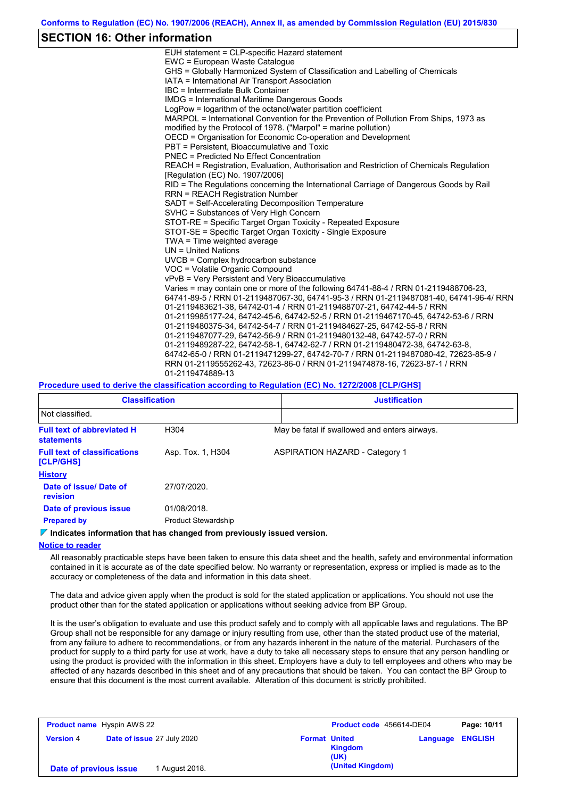## **SECTION 16: Other information**

| EUH statement = CLP-specific Hazard statement                                           |
|-----------------------------------------------------------------------------------------|
| EWC = European Waste Catalogue                                                          |
| GHS = Globally Harmonized System of Classification and Labelling of Chemicals           |
| IATA = International Air Transport Association                                          |
| IBC = Intermediate Bulk Container                                                       |
| <b>IMDG = International Maritime Dangerous Goods</b>                                    |
| LogPow = logarithm of the octanol/water partition coefficient                           |
| MARPOL = International Convention for the Prevention of Pollution From Ships, 1973 as   |
| modified by the Protocol of 1978. ("Marpol" = marine pollution)                         |
| OECD = Organisation for Economic Co-operation and Development                           |
| PBT = Persistent. Bioaccumulative and Toxic                                             |
| <b>PNEC = Predicted No Effect Concentration</b>                                         |
| REACH = Registration, Evaluation, Authorisation and Restriction of Chemicals Regulation |
| [Regulation (EC) No. 1907/2006]                                                         |
| RID = The Regulations concerning the International Carriage of Dangerous Goods by Rail  |
| <b>RRN = REACH Registration Number</b>                                                  |
| SADT = Self-Accelerating Decomposition Temperature                                      |
| SVHC = Substances of Very High Concern                                                  |
| STOT-RE = Specific Target Organ Toxicity - Repeated Exposure                            |
| STOT-SE = Specific Target Organ Toxicity - Single Exposure                              |
| TWA = Time weighted average                                                             |
| $UN = United Nations$                                                                   |
| UVCB = Complex hydrocarbon substance                                                    |
| VOC = Volatile Organic Compound                                                         |
| vPvB = Very Persistent and Very Bioaccumulative                                         |
| Varies = may contain one or more of the following 64741-88-4 / RRN 01-2119488706-23,    |
| 64741-89-5 / RRN 01-2119487067-30, 64741-95-3 / RRN 01-2119487081-40, 64741-96-4/ RRN   |
| 01-2119483621-38, 64742-01-4 / RRN 01-2119488707-21, 64742-44-5 / RRN                   |
| 01-2119985177-24, 64742-45-6, 64742-52-5 / RRN 01-2119467170-45, 64742-53-6 / RRN       |
| 01-2119480375-34, 64742-54-7 / RRN 01-2119484627-25, 64742-55-8 / RRN                   |
| 01-2119487077-29, 64742-56-9 / RRN 01-2119480132-48, 64742-57-0 / RRN                   |
| 01-2119489287-22, 64742-58-1, 64742-62-7 / RRN 01-2119480472-38, 64742-63-8,            |
| 64742-65-0 / RRN 01-2119471299-27, 64742-70-7 / RRN 01-2119487080-42, 72623-85-9 /      |
| RRN 01-2119555262-43, 72623-86-0 / RRN 01-2119474878-16, 72623-87-1 / RRN               |
| 01-2119474889-13                                                                        |
|                                                                                         |

#### **Procedure used to derive the classification according to Regulation (EC) No. 1272/2008 [CLP/GHS]**

| <b>Classification</b>                                  |                            | <b>Justification</b>                          |
|--------------------------------------------------------|----------------------------|-----------------------------------------------|
| Not classified.                                        |                            |                                               |
| <b>Full text of abbreviated H</b><br><b>statements</b> | H <sub>304</sub>           | May be fatal if swallowed and enters airways. |
| <b>Full text of classifications</b><br>[CLP/GHS]       | Asp. Tox. 1, H304          | <b>ASPIRATION HAZARD - Category 1</b>         |
| <b>History</b>                                         |                            |                                               |
| Date of issue/Date of<br>revision                      | 27/07/2020.                |                                               |
| Date of previous issue                                 | 01/08/2018.                |                                               |
| <b>Prepared by</b>                                     | <b>Product Stewardship</b> |                                               |

### **Indicates information that has changed from previously issued version.**

#### **Notice to reader**

All reasonably practicable steps have been taken to ensure this data sheet and the health, safety and environmental information contained in it is accurate as of the date specified below. No warranty or representation, express or implied is made as to the accuracy or completeness of the data and information in this data sheet.

The data and advice given apply when the product is sold for the stated application or applications. You should not use the product other than for the stated application or applications without seeking advice from BP Group.

It is the user's obligation to evaluate and use this product safely and to comply with all applicable laws and regulations. The BP Group shall not be responsible for any damage or injury resulting from use, other than the stated product use of the material, from any failure to adhere to recommendations, or from any hazards inherent in the nature of the material. Purchasers of the product for supply to a third party for use at work, have a duty to take all necessary steps to ensure that any person handling or using the product is provided with the information in this sheet. Employers have a duty to tell employees and others who may be affected of any hazards described in this sheet and of any precautions that should be taken. You can contact the BP Group to ensure that this document is the most current available. Alteration of this document is strictly prohibited.

| <b>Product name</b> Hyspin AWS 22 |                                   |                                                | Product code 456614-DE04 |  |
|-----------------------------------|-----------------------------------|------------------------------------------------|--------------------------|--|
| <b>Version 4</b>                  | <b>Date of issue 27 July 2020</b> | <b>Format United</b><br><b>Kingdom</b><br>(UK) | <b>Language ENGLISH</b>  |  |
| Date of previous issue            | 1 August 2018.                    | (United Kingdom)                               |                          |  |